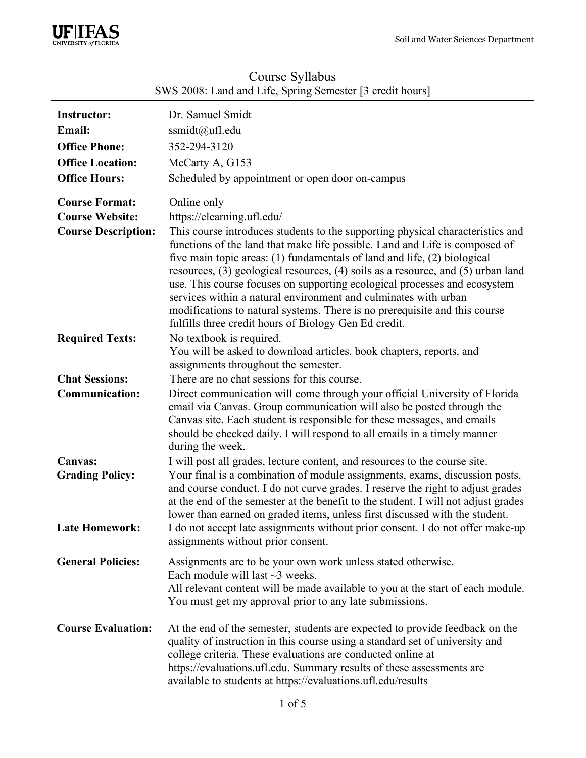

| <b>Instructor:</b><br>Email:<br><b>Office Phone:</b><br><b>Office Location:</b><br><b>Office Hours:</b> | Dr. Samuel Smidt<br>ssmidt@ufl.edu<br>352-294-3120<br>McCarty A, G153<br>Scheduled by appointment or open door on-campus                                                                                                                                                                                                                                                                                                                                                                                                                                                                                                                                          |  |
|---------------------------------------------------------------------------------------------------------|-------------------------------------------------------------------------------------------------------------------------------------------------------------------------------------------------------------------------------------------------------------------------------------------------------------------------------------------------------------------------------------------------------------------------------------------------------------------------------------------------------------------------------------------------------------------------------------------------------------------------------------------------------------------|--|
| <b>Course Format:</b><br><b>Course Website:</b><br><b>Course Description:</b>                           | Online only<br>https://elearning.ufl.edu/<br>This course introduces students to the supporting physical characteristics and<br>functions of the land that make life possible. Land and Life is composed of<br>five main topic areas: (1) fundamentals of land and life, (2) biological<br>resources, (3) geological resources, (4) soils as a resource, and (5) urban land<br>use. This course focuses on supporting ecological processes and ecosystem<br>services within a natural environment and culminates with urban<br>modifications to natural systems. There is no prerequisite and this course<br>fulfills three credit hours of Biology Gen Ed credit. |  |
| <b>Required Texts:</b>                                                                                  | No textbook is required.<br>You will be asked to download articles, book chapters, reports, and<br>assignments throughout the semester.                                                                                                                                                                                                                                                                                                                                                                                                                                                                                                                           |  |
| <b>Chat Sessions:</b><br><b>Communication:</b>                                                          | There are no chat sessions for this course.<br>Direct communication will come through your official University of Florida<br>email via Canvas. Group communication will also be posted through the<br>Canvas site. Each student is responsible for these messages, and emails<br>should be checked daily. I will respond to all emails in a timely manner<br>during the week.                                                                                                                                                                                                                                                                                     |  |
| <b>Canvas:</b><br><b>Grading Policy:</b><br><b>Late Homework:</b>                                       | I will post all grades, lecture content, and resources to the course site.<br>Your final is a combination of module assignments, exams, discussion posts,<br>and course conduct. I do not curve grades. I reserve the right to adjust grades<br>at the end of the semester at the benefit to the student. I will not adjust grades<br>lower than earned on graded items, unless first discussed with the student.<br>I do not accept late assignments without prior consent. I do not offer make-up<br>assignments without prior consent.                                                                                                                         |  |
| <b>General Policies:</b>                                                                                | Assignments are to be your own work unless stated otherwise.<br>Each module will last $\sim$ 3 weeks.<br>All relevant content will be made available to you at the start of each module.<br>You must get my approval prior to any late submissions.                                                                                                                                                                                                                                                                                                                                                                                                               |  |
| <b>Course Evaluation:</b>                                                                               | At the end of the semester, students are expected to provide feedback on the<br>quality of instruction in this course using a standard set of university and<br>college criteria. These evaluations are conducted online at<br>https://evaluations.ufl.edu. Summary results of these assessments are<br>available to students at https://evaluations.ufl.edu/results                                                                                                                                                                                                                                                                                              |  |

# Course Syllabus SWS 2008: Land and Life, Spring Semester [3 credit hours]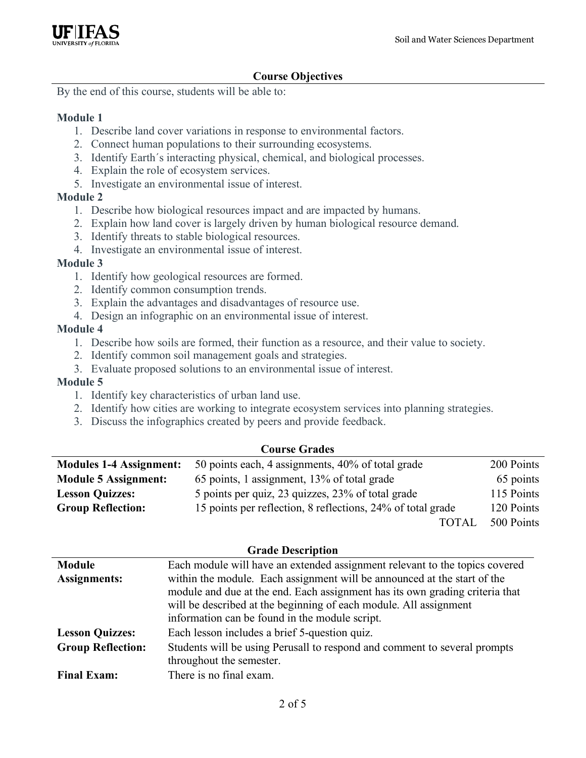

## **Course Objectives**

By the end of this course, students will be able to:

#### **Module 1**

- 1. Describe land cover variations in response to environmental factors.
- 2. Connect human populations to their surrounding ecosystems.
- 3. Identify Earth´s interacting physical, chemical, and biological processes.
- 4. Explain the role of ecosystem services.
- 5. Investigate an environmental issue of interest.

#### **Module 2**

- 1. Describe how biological resources impact and are impacted by humans.
- 2. Explain how land cover is largely driven by human biological resource demand.
- 3. Identify threats to stable biological resources.
- 4. Investigate an environmental issue of interest.

#### **Module 3**

- 1. Identify how geological resources are formed.
- 2. Identify common consumption trends.
- 3. Explain the advantages and disadvantages of resource use.
- 4. Design an infographic on an environmental issue of interest.

#### **Module 4**

- 1. Describe how soils are formed, their function as a resource, and their value to society.
- 2. Identify common soil management goals and strategies.
- 3. Evaluate proposed solutions to an environmental issue of interest.

#### **Module 5**

- 1. Identify key characteristics of urban land use.
- 2. Identify how cities are working to integrate ecosystem services into planning strategies.
- 3. Discuss the infographics created by peers and provide feedback.

#### **Course Grades**

| <b>Modules 1-4 Assignment:</b> | 50 points each, 4 assignments, 40% of total grade           | 200 Points |  |
|--------------------------------|-------------------------------------------------------------|------------|--|
| <b>Module 5 Assignment:</b>    | 65 points, 1 assignment, 13% of total grade                 | 65 points  |  |
| <b>Lesson Quizzes:</b>         | 5 points per quiz, 23 quizzes, 23% of total grade           | 115 Points |  |
| <b>Group Reflection:</b>       | 15 points per reflection, 8 reflections, 24% of total grade | 120 Points |  |
|                                | TOTAI                                                       | 500 Points |  |

#### **Grade Description**

| <b>Module</b>            | Each module will have an extended assignment relevant to the topics covered                                                                                                                                                                                                     |
|--------------------------|---------------------------------------------------------------------------------------------------------------------------------------------------------------------------------------------------------------------------------------------------------------------------------|
| <b>Assignments:</b>      | within the module. Each assignment will be announced at the start of the<br>module and due at the end. Each assignment has its own grading criteria that<br>will be described at the beginning of each module. All assignment<br>information can be found in the module script. |
| <b>Lesson Quizzes:</b>   | Each lesson includes a brief 5-question quiz.                                                                                                                                                                                                                                   |
| <b>Group Reflection:</b> | Students will be using Perusall to respond and comment to several prompts<br>throughout the semester.                                                                                                                                                                           |
| <b>Final Exam:</b>       | There is no final exam.                                                                                                                                                                                                                                                         |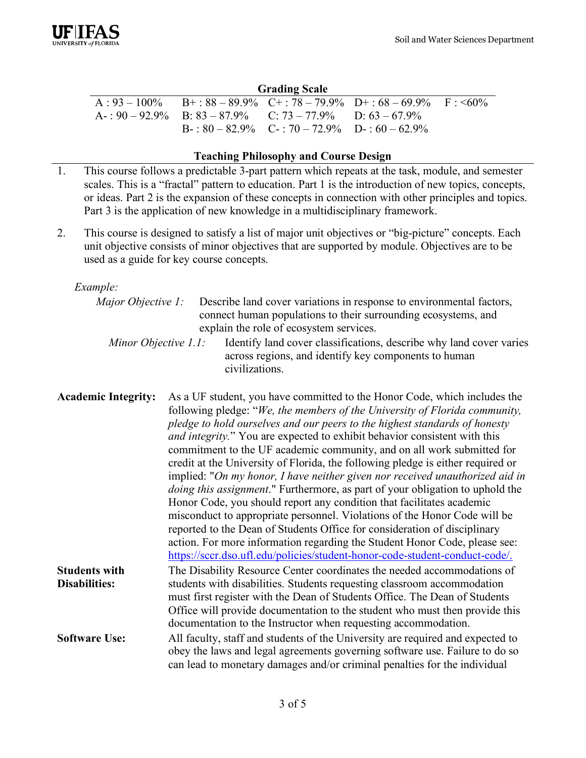## **Grading Scale**

|                                                                      |                                                       | $A: 93-100\%$ B+: $88-89.9\%$ C+: $78-79.9\%$ D+: $68-69.9\%$ F: <60% |  |
|----------------------------------------------------------------------|-------------------------------------------------------|-----------------------------------------------------------------------|--|
| $A = 90 - 92.9\%$ B: $83 - 87.9\%$ C: $73 - 77.9\%$ D: $63 - 67.9\%$ |                                                       |                                                                       |  |
|                                                                      | $B - 80 - 82.9\%$ $C - 70 - 72.9\%$ $D - 60 - 62.9\%$ |                                                                       |  |

## **Teaching Philosophy and Course Design**

- 1. This course follows a predictable 3-part pattern which repeats at the task, module, and semester scales. This is a "fractal" pattern to education. Part 1 is the introduction of new topics, concepts, or ideas. Part 2 is the expansion of these concepts in connection with other principles and topics. Part 3 is the application of new knowledge in a multidisciplinary framework.
- 2. This course is designed to satisfy a list of major unit objectives or "big-picture" concepts. Each unit objective consists of minor objectives that are supported by module. Objectives are to be used as a guide for key course concepts.

*Example:*

|                      | <i>Major Objective 1:</i> Describe land cover variations in response to environmental factors, |
|----------------------|------------------------------------------------------------------------------------------------|
|                      | connect human populations to their surrounding ecosystems, and                                 |
|                      | explain the role of ecosystem services.                                                        |
| Minor Objective 1.1: | Identify land cover classifications, describe why land cover varies                            |
|                      | across regions, and identify key components to human                                           |
|                      | civilizations.                                                                                 |

| <b>Academic Integrity:</b> | As a UF student, you have committed to the Honor Code, which includes the             |
|----------------------------|---------------------------------------------------------------------------------------|
|                            | following pledge: "We, the members of the University of Florida community,            |
|                            | pledge to hold ourselves and our peers to the highest standards of honesty            |
|                            | and integrity." You are expected to exhibit behavior consistent with this             |
|                            | commitment to the UF academic community, and on all work submitted for                |
|                            | credit at the University of Florida, the following pledge is either required or       |
|                            | implied: "On my honor, I have neither given nor received unauthorized aid in          |
|                            | <i>doing this assignment.</i> " Furthermore, as part of your obligation to uphold the |
|                            | Honor Code, you should report any condition that facilitates academic                 |
|                            | misconduct to appropriate personnel. Violations of the Honor Code will be             |
|                            | reported to the Dean of Students Office for consideration of disciplinary             |
|                            | action. For more information regarding the Student Honor Code, please see:            |
|                            | https://sccr.dso.ufl.edu/policies/student-honor-code-student-conduct-code/.           |
| <b>Students with</b>       | The Disability Resource Center coordinates the needed accommodations of               |
| <b>Disabilities:</b>       | students with disabilities. Students requesting classroom accommodation               |
|                            | must first register with the Dean of Students Office. The Dean of Students            |
|                            | Office will provide documentation to the student who must then provide this           |
|                            | documentation to the Instructor when requesting accommodation.                        |
| <b>Software Use:</b>       | All faculty, staff and students of the University are required and expected to        |
|                            | obey the laws and legal agreements governing software use. Failure to do so           |
|                            | can lead to monetary damages and/or criminal penalties for the individual             |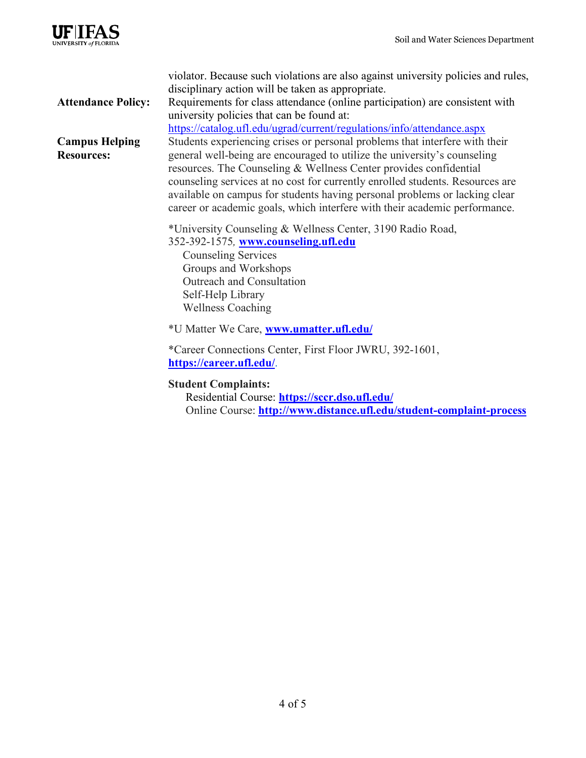

|                                            | violator. Because such violations are also against university policies and rules,<br>disciplinary action will be taken as appropriate.                                                                                                                                                                                                                                                                                                                                    |  |
|--------------------------------------------|---------------------------------------------------------------------------------------------------------------------------------------------------------------------------------------------------------------------------------------------------------------------------------------------------------------------------------------------------------------------------------------------------------------------------------------------------------------------------|--|
| <b>Attendance Policy:</b>                  | Requirements for class attendance (online participation) are consistent with                                                                                                                                                                                                                                                                                                                                                                                              |  |
|                                            | university policies that can be found at:<br>https://catalog.ufl.edu/ugrad/current/regulations/info/attendance.aspx                                                                                                                                                                                                                                                                                                                                                       |  |
| <b>Campus Helping</b><br><b>Resources:</b> | Students experiencing crises or personal problems that interfere with their<br>general well-being are encouraged to utilize the university's counseling<br>resources. The Counseling & Wellness Center provides confidential<br>counseling services at no cost for currently enrolled students. Resources are<br>available on campus for students having personal problems or lacking clear<br>career or academic goals, which interfere with their academic performance. |  |
|                                            | *University Counseling & Wellness Center, 3190 Radio Road,<br>352-392-1575, www.counseling.ufl.edu<br><b>Counseling Services</b><br>Groups and Workshops<br>Outreach and Consultation<br>Self-Help Library<br><b>Wellness Coaching</b>                                                                                                                                                                                                                                    |  |
|                                            | *U Matter We Care, www.umatter.ufl.edu/                                                                                                                                                                                                                                                                                                                                                                                                                                   |  |
|                                            | *Career Connections Center, First Floor JWRU, 392-1601,<br>https://career.ufl.edu/.                                                                                                                                                                                                                                                                                                                                                                                       |  |
|                                            | <b>Student Complaints:</b><br>Residential Course: https://sccr.dso.ufl.edu/<br>Online Course: http://www.distance.ufl.edu/student-complaint-process                                                                                                                                                                                                                                                                                                                       |  |
|                                            |                                                                                                                                                                                                                                                                                                                                                                                                                                                                           |  |